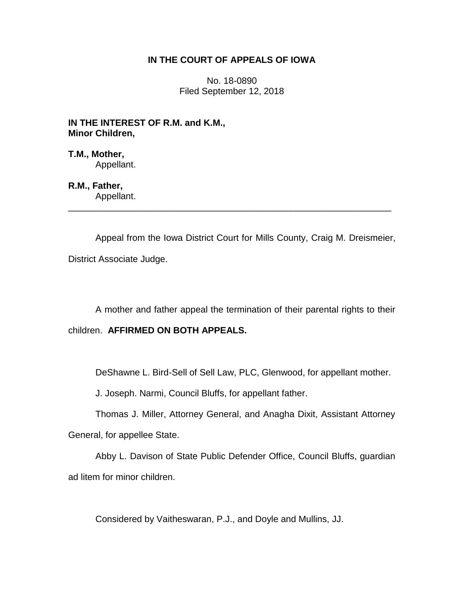### **IN THE COURT OF APPEALS OF IOWA**

No. 18-0890 Filed September 12, 2018

**IN THE INTEREST OF R.M. and K.M., Minor Children,**

**T.M., Mother,** Appellant.

**R.M., Father,** Appellant.

Appeal from the Iowa District Court for Mills County, Craig M. Dreismeier, District Associate Judge.

\_\_\_\_\_\_\_\_\_\_\_\_\_\_\_\_\_\_\_\_\_\_\_\_\_\_\_\_\_\_\_\_\_\_\_\_\_\_\_\_\_\_\_\_\_\_\_\_\_\_\_\_\_\_\_\_\_\_\_\_\_\_\_\_

A mother and father appeal the termination of their parental rights to their

children. **AFFIRMED ON BOTH APPEALS.**

DeShawne L. Bird-Sell of Sell Law, PLC, Glenwood, for appellant mother.

J. Joseph. Narmi, Council Bluffs, for appellant father.

Thomas J. Miller, Attorney General, and Anagha Dixit, Assistant Attorney General, for appellee State.

Abby L. Davison of State Public Defender Office, Council Bluffs, guardian ad litem for minor children.

Considered by Vaitheswaran, P.J., and Doyle and Mullins, JJ.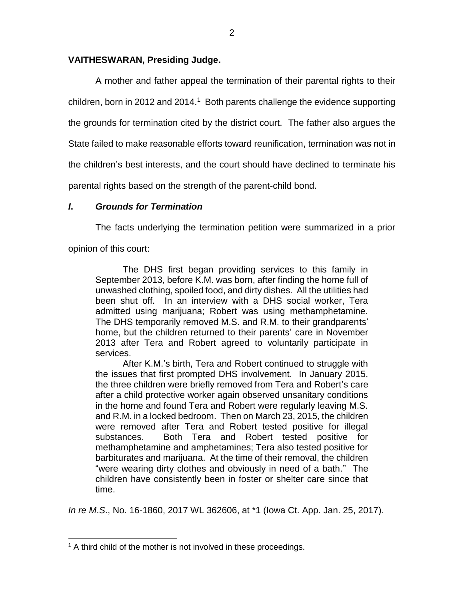### **VAITHESWARAN, Presiding Judge.**

A mother and father appeal the termination of their parental rights to their children, born in 2012 and 2014.<sup>1</sup> Both parents challenge the evidence supporting the grounds for termination cited by the district court. The father also argues the State failed to make reasonable efforts toward reunification, termination was not in the children's best interests, and the court should have declined to terminate his parental rights based on the strength of the parent-child bond.

## *I***.** *Grounds for Termination*

The facts underlying the termination petition were summarized in a prior

opinion of this court:

 $\overline{a}$ 

The DHS first began providing services to this family in September 2013, before K.M. was born, after finding the home full of unwashed clothing, spoiled food, and dirty dishes. All the utilities had been shut off. In an interview with a DHS social worker, Tera admitted using marijuana; Robert was using methamphetamine. The DHS temporarily removed M.S. and R.M. to their grandparents' home, but the children returned to their parents' care in November 2013 after Tera and Robert agreed to voluntarily participate in services.

After K.M.'s birth, Tera and Robert continued to struggle with the issues that first prompted DHS involvement. In January 2015, the three children were briefly removed from Tera and Robert's care after a child protective worker again observed unsanitary conditions in the home and found Tera and Robert were regularly leaving M.S. and R.M. in a locked bedroom. Then on March 23, 2015, the children were removed after Tera and Robert tested positive for illegal substances. Both Tera and Robert tested positive for methamphetamine and amphetamines; Tera also tested positive for barbiturates and marijuana. At the time of their removal, the children "were wearing dirty clothes and obviously in need of a bath." The children have consistently been in foster or shelter care since that time.

*In re M*.*S*., No. 16-1860, 2017 WL 362606, at \*1 (Iowa Ct. App. Jan. 25, 2017).

 $<sup>1</sup>$  A third child of the mother is not involved in these proceedings.</sup>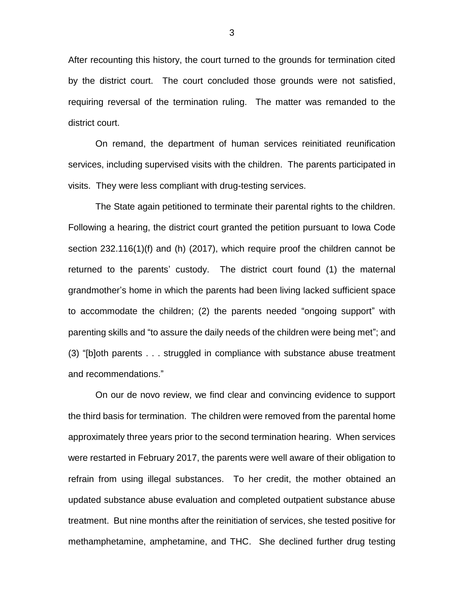After recounting this history, the court turned to the grounds for termination cited by the district court. The court concluded those grounds were not satisfied, requiring reversal of the termination ruling. The matter was remanded to the district court.

On remand, the department of human services reinitiated reunification services, including supervised visits with the children. The parents participated in visits. They were less compliant with drug-testing services.

The State again petitioned to terminate their parental rights to the children. Following a hearing, the district court granted the petition pursuant to Iowa Code section 232.116(1)(f) and (h) (2017), which require proof the children cannot be returned to the parents' custody. The district court found (1) the maternal grandmother's home in which the parents had been living lacked sufficient space to accommodate the children; (2) the parents needed "ongoing support" with parenting skills and "to assure the daily needs of the children were being met"; and (3) "[b]oth parents . . . struggled in compliance with substance abuse treatment and recommendations."

On our de novo review, we find clear and convincing evidence to support the third basis for termination. The children were removed from the parental home approximately three years prior to the second termination hearing. When services were restarted in February 2017, the parents were well aware of their obligation to refrain from using illegal substances. To her credit, the mother obtained an updated substance abuse evaluation and completed outpatient substance abuse treatment. But nine months after the reinitiation of services, she tested positive for methamphetamine, amphetamine, and THC. She declined further drug testing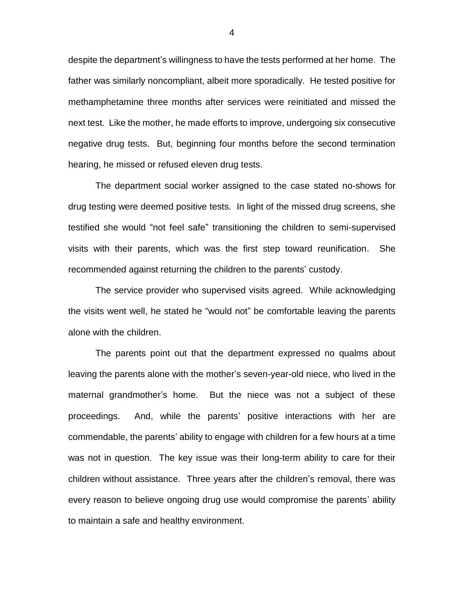despite the department's willingness to have the tests performed at her home. The father was similarly noncompliant, albeit more sporadically. He tested positive for methamphetamine three months after services were reinitiated and missed the next test. Like the mother, he made efforts to improve, undergoing six consecutive negative drug tests. But, beginning four months before the second termination hearing, he missed or refused eleven drug tests.

The department social worker assigned to the case stated no-shows for drug testing were deemed positive tests. In light of the missed drug screens, she testified she would "not feel safe" transitioning the children to semi-supervised visits with their parents, which was the first step toward reunification. She recommended against returning the children to the parents' custody.

The service provider who supervised visits agreed. While acknowledging the visits went well, he stated he "would not" be comfortable leaving the parents alone with the children.

The parents point out that the department expressed no qualms about leaving the parents alone with the mother's seven-year-old niece, who lived in the maternal grandmother's home. But the niece was not a subject of these proceedings. And, while the parents' positive interactions with her are commendable, the parents' ability to engage with children for a few hours at a time was not in question. The key issue was their long-term ability to care for their children without assistance. Three years after the children's removal, there was every reason to believe ongoing drug use would compromise the parents' ability to maintain a safe and healthy environment.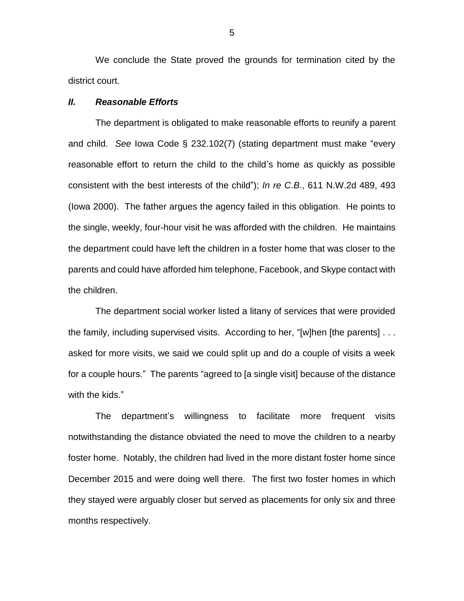We conclude the State proved the grounds for termination cited by the district court.

### *II. Reasonable Efforts*

The department is obligated to make reasonable efforts to reunify a parent and child. *See* Iowa Code § 232.102(7) (stating department must make "every reasonable effort to return the child to the child's home as quickly as possible consistent with the best interests of the child"); *In re C*.*B*., 611 N.W.2d 489, 493 (Iowa 2000). The father argues the agency failed in this obligation. He points to the single, weekly, four-hour visit he was afforded with the children. He maintains the department could have left the children in a foster home that was closer to the parents and could have afforded him telephone, Facebook, and Skype contact with the children.

The department social worker listed a litany of services that were provided the family, including supervised visits. According to her, "[w]hen [the parents] . . . asked for more visits, we said we could split up and do a couple of visits a week for a couple hours." The parents "agreed to [a single visit] because of the distance with the kids."

The department's willingness to facilitate more frequent visits notwithstanding the distance obviated the need to move the children to a nearby foster home. Notably, the children had lived in the more distant foster home since December 2015 and were doing well there. The first two foster homes in which they stayed were arguably closer but served as placements for only six and three months respectively.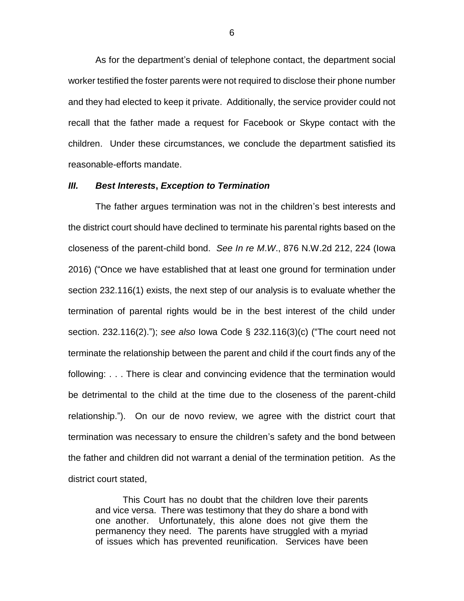As for the department's denial of telephone contact, the department social worker testified the foster parents were not required to disclose their phone number and they had elected to keep it private. Additionally, the service provider could not recall that the father made a request for Facebook or Skype contact with the children. Under these circumstances, we conclude the department satisfied its reasonable-efforts mandate.

#### *III. Best Interests***,** *Exception to Termination*

The father argues termination was not in the children's best interests and the district court should have declined to terminate his parental rights based on the closeness of the parent-child bond. *See In re M*.*W*., 876 N.W.2d 212, 224 (Iowa 2016) ("Once we have established that at least one ground for termination under section 232.116(1) exists, the next step of our analysis is to evaluate whether the termination of parental rights would be in the best interest of the child under section. 232.116(2)."); *see also* Iowa Code § 232.116(3)(c) ("The court need not terminate the relationship between the parent and child if the court finds any of the following: . . . There is clear and convincing evidence that the termination would be detrimental to the child at the time due to the closeness of the parent-child relationship."). On our de novo review, we agree with the district court that termination was necessary to ensure the children's safety and the bond between the father and children did not warrant a denial of the termination petition. As the district court stated,

This Court has no doubt that the children love their parents and vice versa. There was testimony that they do share a bond with one another. Unfortunately, this alone does not give them the permanency they need. The parents have struggled with a myriad of issues which has prevented reunification. Services have been